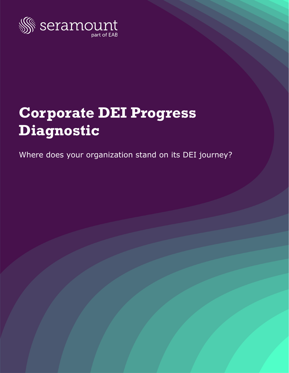

# **Corporate DEI Progress Diagnostic**

Where does your organization stand on its DEI journey?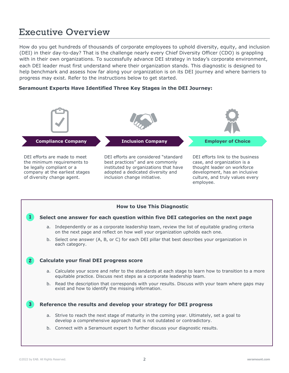## Executive Overview

How do you get hundreds of thousands of corporate employees to uphold diversity, equity, and inclusion (DEI) in their day-to-day? That is the challenge nearly every Chief Diversity Officer (CDO) is grappling with in their own organizations. To successfully advance DEI strategy in today's corporate environment, each DEI leader must first understand where their organization stands. This diagnostic is designed to help benchmark and assess how far along your organization is on its DEI journey and where barriers to progress may exist. Refer to the instructions below to get started.

## **Seramount Experts Have Identified Three Key Stages in the DEI Journey:**



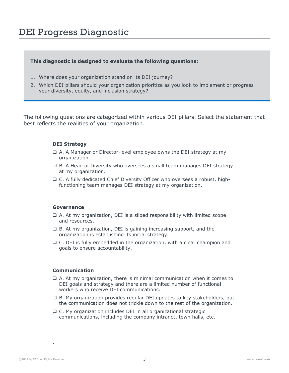# DEI Progress Diagnostic

### **This diagnostic is designed to evaluate the following questions:**

- 1. Where does your organization stand on its DEI journey?
- 2. Which DEI pillars should your organization prioritize as you look to implement or progress your diversity, equity, and inclusion strategy?

The following questions are categorized within various DEI pillars. Select the statement that best reflects the realities of your organization.

#### **DEI Strategy**

- $\Box$  A. A Manager or Director-level employee owns the DEI strategy at my organization.
- $\Box$  B. A Head of Diversity who oversees a small team manages DEI strategy at my organization.
- q C. A fully dedicated Chief Diversity Officer who oversees a robust, highfunctioning team manages DEI strategy at my organization.

#### **Governance**

- $\Box$  A. At my organization, DEI is a siloed responsibility with limited scope and resources.
- $\Box$  B. At my organization, DEI is gaining increasing support, and the organization is establishing its initial strategy.
- $\Box$  C. DEI is fully embedded in the organization, with a clear champion and goals to ensure accountability.

#### **Communication**

- $\Box$  A. At my organization, there is minimal communication when it comes to DEI goals and strategy and there are a limited number of functional workers who receive DEI communications.
- $\Box$  B. My organization provides regular DEI updates to key stakeholders, but the communication does not trickle down to the rest of the organization.
- $\Box$  C. My organization includes DEI in all organizational strategic communications, including the company intranet, town halls, etc.

.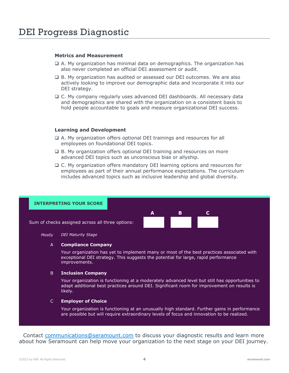### **Metrics and Measurement**

- $\Box$  A. My organization has minimal data on demographics. The organization has also never completed an official DEI assessment or audit.
- $\Box$  B. My organization has audited or assessed our DEI outcomes. We are also actively looking to improve our demographic data and incorporate it into our DEI strategy.
- $\Box$  C. My company regularly uses advanced DEI dashboards. All necessary data and demographics are shared with the organization on a consistent basis to hold people accountable to goals and measure organizational DEI success.

#### **Learning and Development**

- $\Box$  A. My organization offers optional DEI trainings and resources for all employees on foundational DEI topics.
- $\Box$  B. My organization offers optional DEI training and resources on more advanced DEI topics such as unconscious bias or allyship.
- $\Box$  C. My organization offers mandatory DEI learning options and resources for employees as part of their annual performance expectations. The curriculum includes advanced topics such as inclusive leadership and global diversity.



Your organization has yet to implement many or most of the best practices associated with exceptional DEI strategy. This suggests the potential for large, rapid performance improvements.

#### **Inclusion Company** B

Your organization is functioning at a moderately advanced level but still has opportunities to adapt additional best practices around DEI. Significant room for improvement on results is likely.

#### **Employer of Choice** C

Your organization is functioning at an unusually high standard. Further gains in performance are possible but will require extraordinary levels of focus and innovation to be realized.

Contact [communications@seramount.com](mailto:communications@seramount.com) to discuss your diagnostic results and learn more about how Seramount can help move your organization to the next stage on your DEI journey.